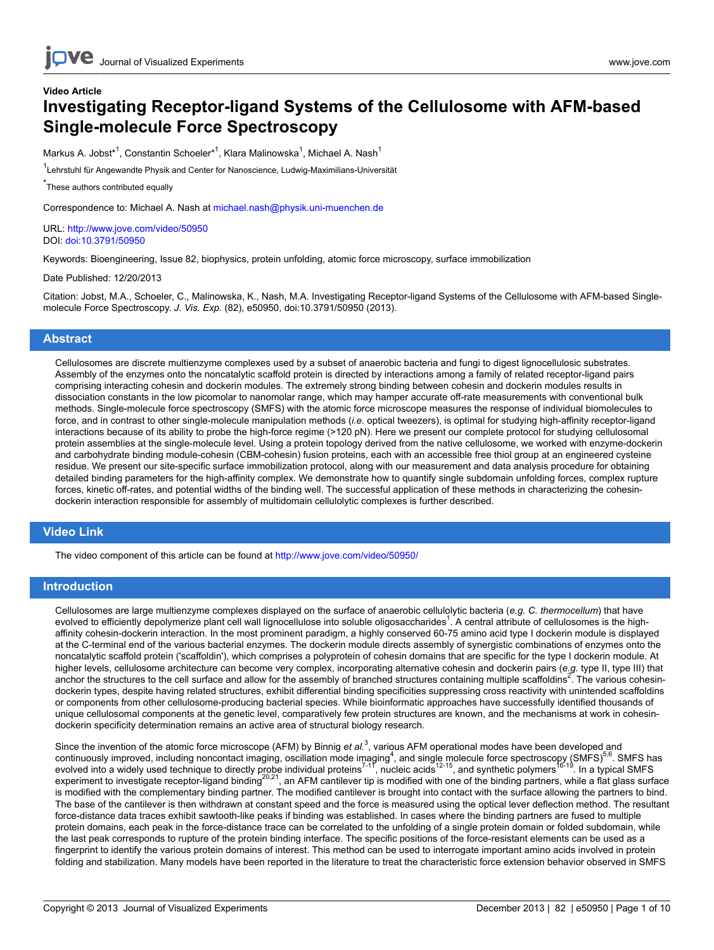# **Video Article Investigating Receptor-ligand Systems of the Cellulosome with AFM-based Single-molecule Force Spectroscopy**

Markus A. Jobst\*<sup>1</sup>, Constantin Schoeler\*<sup>1</sup>, Klara Malinowska<sup>1</sup>, Michael A. Nash<sup>1</sup>

<sup>1</sup>Lehrstuhl für Angewandte Physik and Center for Nanoscience, Ludwig-Maximilians-Universität

\* These authors contributed equally

Correspondence to: Michael A. Nash at [michael.nash@physik.uni-muenchen.de](mailto:michael.nash@physik.uni-muenchen.de)

URL:<http://www.jove.com/video/50950> DOI: [doi:10.3791/50950](http://dx.doi.org/10.3791/50950)

Keywords: Bioengineering, Issue 82, biophysics, protein unfolding, atomic force microscopy, surface immobilization

Date Published: 12/20/2013

Citation: Jobst, M.A., Schoeler, C., Malinowska, K., Nash, M.A. Investigating Receptor-ligand Systems of the Cellulosome with AFM-based Singlemolecule Force Spectroscopy. *J. Vis. Exp.* (82), e50950, doi:10.3791/50950 (2013).

## **Abstract**

Cellulosomes are discrete multienzyme complexes used by a subset of anaerobic bacteria and fungi to digest lignocellulosic substrates. Assembly of the enzymes onto the noncatalytic scaffold protein is directed by interactions among a family of related receptor-ligand pairs comprising interacting cohesin and dockerin modules. The extremely strong binding between cohesin and dockerin modules results in dissociation constants in the low picomolar to nanomolar range, which may hamper accurate off-rate measurements with conventional bulk methods. Single-molecule force spectroscopy (SMFS) with the atomic force microscope measures the response of individual biomolecules to force, and in contrast to other single-molecule manipulation methods (*i.e.* optical tweezers), is optimal for studying high-affinity receptor-ligand interactions because of its ability to probe the high-force regime (>120 pN). Here we present our complete protocol for studying cellulosomal protein assemblies at the single-molecule level. Using a protein topology derived from the native cellulosome, we worked with enzyme-dockerin and carbohydrate binding module-cohesin (CBM-cohesin) fusion proteins, each with an accessible free thiol group at an engineered cysteine residue. We present our site-specific surface immobilization protocol, along with our measurement and data analysis procedure for obtaining detailed binding parameters for the high-affinity complex. We demonstrate how to quantify single subdomain unfolding forces, complex rupture forces, kinetic off-rates, and potential widths of the binding well. The successful application of these methods in characterizing the cohesindockerin interaction responsible for assembly of multidomain cellulolytic complexes is further described.

# **Video Link**

The video component of this article can be found at <http://www.jove.com/video/50950/>

# **Introduction**

Cellulosomes are large multienzyme complexes displayed on the surface of anaerobic cellulolytic bacteria (*e.g. C. thermocellum*) that have evolved to efficiently depolymerize plant cell wall lignocellulose into soluble oligosaccharides<sup>1</sup>. A central attribute of cellulosomes is the highaffinity cohesin-dockerin interaction. In the most prominent paradigm, a highly conserved 60-75 amino acid type I dockerin module is displayed at the C-terminal end of the various bacterial enzymes. The dockerin module directs assembly of synergistic combinations of enzymes onto the noncatalytic scaffold protein ('scaffoldin'), which comprises a polyprotein of cohesin domains that are specific for the type I dockerin module. At higher levels, cellulosome architecture can become very complex, incorporating alternative cohesin and dockerin pairs (*e.g.* type II, type III) that anchor the structures to the cell surface and allow for the assembly of branched structures containing multiple scaffoldins<sup>2</sup>. The various cohesindockerin types, despite having related structures, exhibit differential binding specificities suppressing cross reactivity with unintended scaffoldins or components from other cellulosome-producing bacterial species. While bioinformatic approaches have successfully identified thousands of unique cellulosomal components at the genetic level, comparatively few protein structures are known, and the mechanisms at work in cohesindockerin specificity determination remains an active area of structural biology research.

Since the invention of the atomic force microscope (AFM) by Binnig *et al.*<sup>3</sup>, various AFM operational modes have been developed and continuously improved, including noncontact imaging, oscillation mode imaging<sup>4</sup>, and single molecule force spectroscopy (SMFS)<sup>5,6</sup>. SMFS has evolved into a widely used technique to directly probe individual proteins<sup>7-11</sup>, nucleic acids<sup>12-15</sup>, and synthetic polymers<sup>16-19</sup>. In a typical SMFS experiment to investigate receptor-ligand binding<sup>20,21</sup>, an AFM cantilever tip is modified with one of the binding partners, while a flat glass surface is modified with the complementary binding partner. The modified cantilever is brought into contact with the surface allowing the partners to bind. The base of the cantilever is then withdrawn at constant speed and the force is measured using the optical lever deflection method. The resultant force-distance data traces exhibit sawtooth-like peaks if binding was established. In cases where the binding partners are fused to multiple protein domains, each peak in the force-distance trace can be correlated to the unfolding of a single protein domain or folded subdomain, while the last peak corresponds to rupture of the protein binding interface. The specific positions of the force-resistant elements can be used as a fingerprint to identify the various protein domains of interest. This method can be used to interrogate important amino acids involved in protein folding and stabilization. Many models have been reported in the literature to treat the characteristic force extension behavior observed in SMFS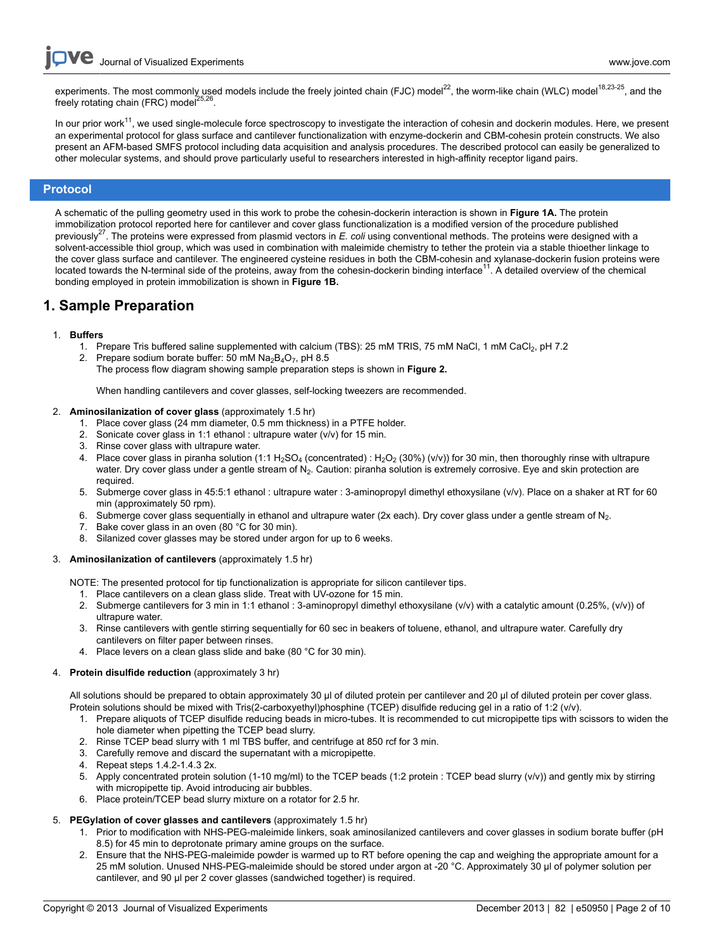experiments. The most commonly used models include the freely jointed chain (FJC) model<sup>22</sup>, the worm-like chain (WLC) model<sup>18,23-25</sup>, and the freely rotating chain (FRC) model<sup>2</sup> .

In our prior work<sup>11</sup>, we used single-molecule force spectroscopy to investigate the interaction of cohesin and dockerin modules. Here, we present an experimental protocol for glass surface and cantilever functionalization with enzyme-dockerin and CBM-cohesin protein constructs. We also present an AFM-based SMFS protocol including data acquisition and analysis procedures. The described protocol can easily be generalized to other molecular systems, and should prove particularly useful to researchers interested in high-affinity receptor ligand pairs.

# **Protocol**

A schematic of the pulling geometry used in this work to probe the cohesin-dockerin interaction is shown in **Figure 1A.** The protein immobilization protocol reported here for cantilever and cover glass functionalization is a modified version of the procedure published previously<sup>27</sup>. The proteins were expressed from plasmid vectors in *E. coli* using conventional methods. The proteins were designed with a solvent-accessible thiol group, which was used in combination with maleimide chemistry to tether the protein via a stable thioether linkage to the cover glass surface and cantilever. The engineered cysteine residues in both the CBM-cohesin and xylanase-dockerin fusion proteins were located towards the N-terminal side of the proteins, away from the cohesin-dockerin binding interface<sup>11</sup>. A detailed overview of the chemical bonding employed in protein immobilization is shown in **Figure 1B.**

# **1. Sample Preparation**

### 1. **Buffers**

- 1. Prepare Tris buffered saline supplemented with calcium (TBS): 25 mM TRIS, 75 mM NaCl, 1 mM CaCl<sub>2</sub>, pH 7.2
- 2. Prepare sodium borate buffer: 50 mM  $Na<sub>2</sub>B<sub>4</sub>O<sub>7</sub>$ , pH 8.5
	- The process flow diagram showing sample preparation steps is shown in **Figure 2.**

When handling cantilevers and cover glasses, self-locking tweezers are recommended.

### 2. **Aminosilanization of cover glass** (approximately 1.5 hr)

- 1. Place cover glass (24 mm diameter, 0.5 mm thickness) in a PTFE holder.
- 2. Sonicate cover glass in 1:1 ethanol : ultrapure water (v/v) for 15 min.
- 3. Rinse cover glass with ultrapure water.
- 4. Place cover glass in piranha solution (1:1 H<sub>2</sub>SO<sub>4</sub> (concentrated) : H<sub>2</sub>O<sub>2</sub> (30%) (v/v)) for 30 min, then thoroughly rinse with ultrapure water. Dry cover glass under a gentle stream of N<sub>2</sub>. Caution: piranha solution is extremely corrosive. Eye and skin protection are required.
- 5. Submerge cover glass in 45:5:1 ethanol : ultrapure water : 3-aminopropyl dimethyl ethoxysilane (v/v). Place on a shaker at RT for 60 min (approximately 50 rpm).
- 6. Submerge cover glass sequentially in ethanol and ultrapure water (2x each). Dry cover glass under a gentle stream of N<sub>2</sub>.<br>7. Bake cover glass in an oven (80 °C for 30 min)
- Bake cover glass in an oven (80 °C for 30 min).
- 8. Silanized cover glasses may be stored under argon for up to 6 weeks.
- 3. **Aminosilanization of cantilevers** (approximately 1.5 hr)

NOTE: The presented protocol for tip functionalization is appropriate for silicon cantilever tips.

- 1. Place cantilevers on a clean glass slide. Treat with UV-ozone for 15 min.
- 2. Submerge cantilevers for 3 min in 1:1 ethanol : 3-aminopropyl dimethyl ethoxysilane (v/v) with a catalytic amount (0.25%, (v/v)) of ultrapure water.
- 3. Rinse cantilevers with gentle stirring sequentially for 60 sec in beakers of toluene, ethanol, and ultrapure water. Carefully dry cantilevers on filter paper between rinses.
- 4. Place levers on a clean glass slide and bake (80 °C for 30 min).

### 4. **Protein disulfide reduction** (approximately 3 hr)

All solutions should be prepared to obtain approximately 30 µl of diluted protein per cantilever and 20 µl of diluted protein per cover glass. Protein solutions should be mixed with Tris(2-carboxyethyl)phosphine (TCEP) disulfide reducing gel in a ratio of 1:2 (v/v).

- 1. Prepare aliquots of TCEP disulfide reducing beads in micro-tubes. It is recommended to cut micropipette tips with scissors to widen the hole diameter when pipetting the TCEP bead slurry.
- 2. Rinse TCEP bead slurry with 1 ml TBS buffer, and centrifuge at 850 rcf for 3 min.
- 3. Carefully remove and discard the supernatant with a micropipette.
- 4. Repeat steps 1.4.2-1.4.3 2x.
- 5. Apply concentrated protein solution (1-10 mg/ml) to the TCEP beads (1:2 protein : TCEP bead slurry (v/v)) and gently mix by stirring with micropipette tip. Avoid introducing air bubbles.
- 6. Place protein/TCEP bead slurry mixture on a rotator for 2.5 hr.

### 5. **PEGylation of cover glasses and cantilevers** (approximately 1.5 hr)

- 1. Prior to modification with NHS-PEG-maleimide linkers, soak aminosilanized cantilevers and cover glasses in sodium borate buffer (pH 8.5) for 45 min to deprotonate primary amine groups on the surface.
- 2. Ensure that the NHS-PEG-maleimide powder is warmed up to RT before opening the cap and weighing the appropriate amount for a 25 mM solution. Unused NHS-PEG-maleimide should be stored under argon at -20 °C. Approximately 30 µl of polymer solution per cantilever, and 90 µl per 2 cover glasses (sandwiched together) is required.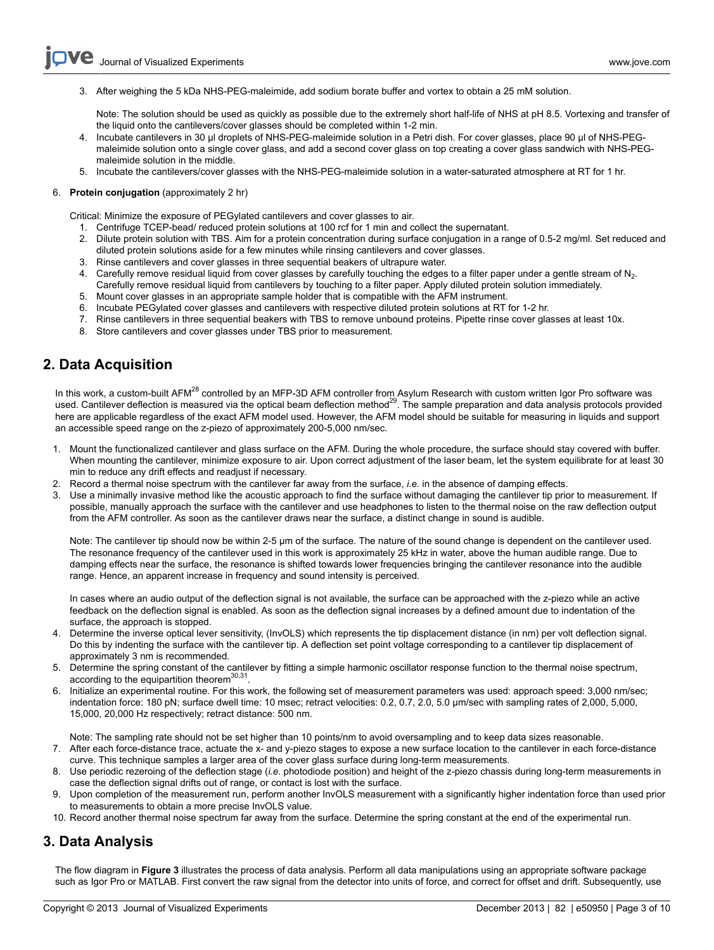3. After weighing the 5 kDa NHS-PEG-maleimide, add sodium borate buffer and vortex to obtain a 25 mM solution.

Note: The solution should be used as quickly as possible due to the extremely short half-life of NHS at pH 8.5. Vortexing and transfer of the liquid onto the cantilevers/cover glasses should be completed within 1-2 min.

- 4. Incubate cantilevers in 30 µl droplets of NHS-PEG-maleimide solution in a Petri dish. For cover glasses, place 90 µl of NHS-PEGmaleimide solution onto a single cover glass, and add a second cover glass on top creating a cover glass sandwich with NHS-PEGmaleimide solution in the middle.
- 5. Incubate the cantilevers/cover glasses with the NHS-PEG-maleimide solution in a water-saturated atmosphere at RT for 1 hr.

## 6. **Protein conjugation** (approximately 2 hr)

Critical: Minimize the exposure of PEGylated cantilevers and cover glasses to air.

- 1. Centrifuge TCEP-bead/ reduced protein solutions at 100 rcf for 1 min and collect the supernatant.
- 2. Dilute protein solution with TBS. Aim for a protein concentration during surface conjugation in a range of 0.5-2 mg/ml. Set reduced and diluted protein solutions aside for a few minutes while rinsing cantilevers and cover glasses.
- 3. Rinse cantilevers and cover glasses in three sequential beakers of ultrapure water.
- 4. Carefully remove residual liquid from cover glasses by carefully touching the edges to a filter paper under a gentle stream of N<sub>2</sub>. Carefully remove residual liquid from cantilevers by touching to a filter paper. Apply diluted protein solution immediately.
- 5. Mount cover glasses in an appropriate sample holder that is compatible with the AFM instrument.
- 6. Incubate PEGylated cover glasses and cantilevers with respective diluted protein solutions at RT for 1-2 hr.
- 7. Rinse cantilevers in three sequential beakers with TBS to remove unbound proteins. Pipette rinse cover glasses at least 10x.
- 8. Store cantilevers and cover glasses under TBS prior to measurement.

# **2. Data Acquisition**

In this work, a custom-built AFM<sup>28</sup> controlled by an MFP-3D AFM controller from Asylum Research with custom written Igor Pro software was used. Cantilever deflection is measured via the optical beam deflection method<sup>29</sup>. The sample preparation and data analysis protocols provided used. Cantilever deflection is measured via the optical beam deflection method here are applicable regardless of the exact AFM model used. However, the AFM model should be suitable for measuring in liquids and support an accessible speed range on the z-piezo of approximately 200-5,000 nm/sec.

- 1. Mount the functionalized cantilever and glass surface on the AFM. During the whole procedure, the surface should stay covered with buffer. When mounting the cantilever, minimize exposure to air. Upon correct adjustment of the laser beam, let the system equilibrate for at least 30 min to reduce any drift effects and readjust if necessary.
- 2. Record a thermal noise spectrum with the cantilever far away from the surface, *i.e.* in the absence of damping effects.
- 3. Use a minimally invasive method like the acoustic approach to find the surface without damaging the cantilever tip prior to measurement. If possible, manually approach the surface with the cantilever and use headphones to listen to the thermal noise on the raw deflection output from the AFM controller. As soon as the cantilever draws near the surface, a distinct change in sound is audible.

Note: The cantilever tip should now be within 2-5 µm of the surface. The nature of the sound change is dependent on the cantilever used. The resonance frequency of the cantilever used in this work is approximately 25 kHz in water, above the human audible range. Due to damping effects near the surface, the resonance is shifted towards lower frequencies bringing the cantilever resonance into the audible range. Hence, an apparent increase in frequency and sound intensity is perceived.

In cases where an audio output of the deflection signal is not available, the surface can be approached with the z-piezo while an active feedback on the deflection signal is enabled. As soon as the deflection signal increases by a defined amount due to indentation of the surface, the approach is stopped.

- 4. Determine the inverse optical lever sensitivity, (InvOLS) which represents the tip displacement distance (in nm) per volt deflection signal. Do this by indenting the surface with the cantilever tip. A deflection set point voltage corresponding to a cantilever tip displacement of approximately 3 nm is recommended.
- 5. Determine the spring constant of the cantilever by fitting a simple harmonic oscillator response function to the thermal noise spectrum, according to the equipartition theorem<sup>30,31</sup>.
- 6. Initialize an experimental routine. For this work, the following set of measurement parameters was used: approach speed: 3,000 nm/sec; indentation force: 180 pN; surface dwell time: 10 msec; retract velocities: 0.2, 0.7, 2.0, 5.0 µm/sec with sampling rates of 2,000, 5,000, 15,000, 20,000 Hz respectively; retract distance: 500 nm.

Note: The sampling rate should not be set higher than 10 points/nm to avoid oversampling and to keep data sizes reasonable.

- 7. After each force-distance trace, actuate the x- and y-piezo stages to expose a new surface location to the cantilever in each force-distance curve. This technique samples a larger area of the cover glass surface during long-term measurements.
- 8. Use periodic rezeroing of the deflection stage (*i.e.* photodiode position) and height of the z-piezo chassis during long-term measurements in case the deflection signal drifts out of range, or contact is lost with the surface.
- 9. Upon completion of the measurement run, perform another InvOLS measurement with a significantly higher indentation force than used prior to measurements to obtain a more precise InvOLS value.
- 10. Record another thermal noise spectrum far away from the surface. Determine the spring constant at the end of the experimental run.

# **3. Data Analysis**

The flow diagram in **Figure 3** illustrates the process of data analysis. Perform all data manipulations using an appropriate software package such as Igor Pro or MATLAB. First convert the raw signal from the detector into units of force, and correct for offset and drift. Subsequently, use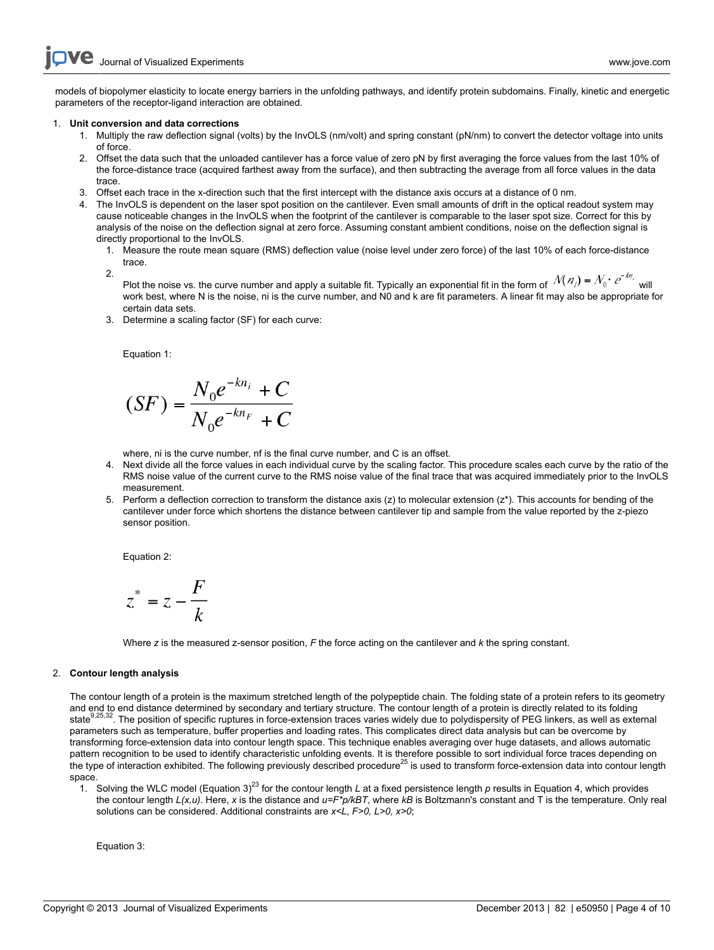models of biopolymer elasticity to locate energy barriers in the unfolding pathways, and identify protein subdomains. Finally, kinetic and energetic parameters of the receptor-ligand interaction are obtained.

### 1. **Unit conversion and data corrections**

- 1. Multiply the raw deflection signal (volts) by the InvOLS (nm/volt) and spring constant (pN/nm) to convert the detector voltage into units of force.
- 2. Offset the data such that the unloaded cantilever has a force value of zero pN by first averaging the force values from the last 10% of the force-distance trace (acquired farthest away from the surface), and then subtracting the average from all force values in the data trace.
- 3. Offset each trace in the x-direction such that the first intercept with the distance axis occurs at a distance of 0 nm.
- 4. The InvOLS is dependent on the laser spot position on the cantilever. Even small amounts of drift in the optical readout system may cause noticeable changes in the InvOLS when the footprint of the cantilever is comparable to the laser spot size. Correct for this by analysis of the noise on the deflection signal at zero force. Assuming constant ambient conditions, noise on the deflection signal is directly proportional to the InvOLS.
	- 1. Measure the route mean square (RMS) deflection value (noise level under zero force) of the last 10% of each force-distance trace.
	- 2.
		- Plot the noise vs. the curve number and apply a suitable fit. Typically an exponential fit in the form of  $N(n_i) = N_0 \cdot e^{-kn_i}$  will work best, where N is the noise, ni is the curve number, and N0 and k are fit parameters. A linear fit may also be appropriate for certain data sets.
	- 3. Determine a scaling factor (SF) for each curve:

Equation 1:

$$
(SF) = \frac{N_0 e^{-kn_i} + C}{N_0 e^{-kn_F} + C}
$$

where, ni is the curve number, nf is the final curve number, and C is an offset.

- 4. Next divide all the force values in each individual curve by the scaling factor. This procedure scales each curve by the ratio of the RMS noise value of the current curve to the RMS noise value of the final trace that was acquired immediately prior to the InvOLS measurement.
- 5. Perform a deflection correction to transform the distance axis (z) to molecular extension (z\*). This accounts for bending of the cantilever under force which shortens the distance between cantilever tip and sample from the value reported by the z-piezo sensor position.

Equation 2:

$$
z^* = z - \frac{F}{k}
$$

Where *z* is the measured z-sensor position, *F* the force acting on the cantilever and *k* the spring constant.

### 2. **Contour length analysis**

The contour length of a protein is the maximum stretched length of the polypeptide chain. The folding state of a protein refers to its geometry and end to end distance determined by secondary and tertiary structure. The contour length of a protein is directly related to its folding state<sup>9,25,32</sup>. The position of specific ruptures in force-extension traces varies widely due to polydispersity of PEG linkers, as well as external parameters such as temperature, buffer properties and loading rates. This complicates direct data analysis but can be overcome by transforming force-extension data into contour length space. This technique enables averaging over huge datasets, and allows automatic pattern recognition to be used to identify characteristic unfolding events. It is therefore possible to sort individual force traces depending on the type of interaction exhibited. The following previously described procedure<sup>25</sup> is used to transform force-extension data into contour length space.

1. Solving the WLC model (Equation 3)<sup>23</sup> for the contour length *L* at a fixed persistence length *p* results in Equation 4, which provides the contour length *L(x,u)*. Here, *x* is the distance and *u=F\*p/kBT*, where *kB* is Boltzmann's constant and T is the temperature. Only real solutions can be considered. Additional constraints are *x<L*, *F>0, L>0, x>0*;

Equation 3: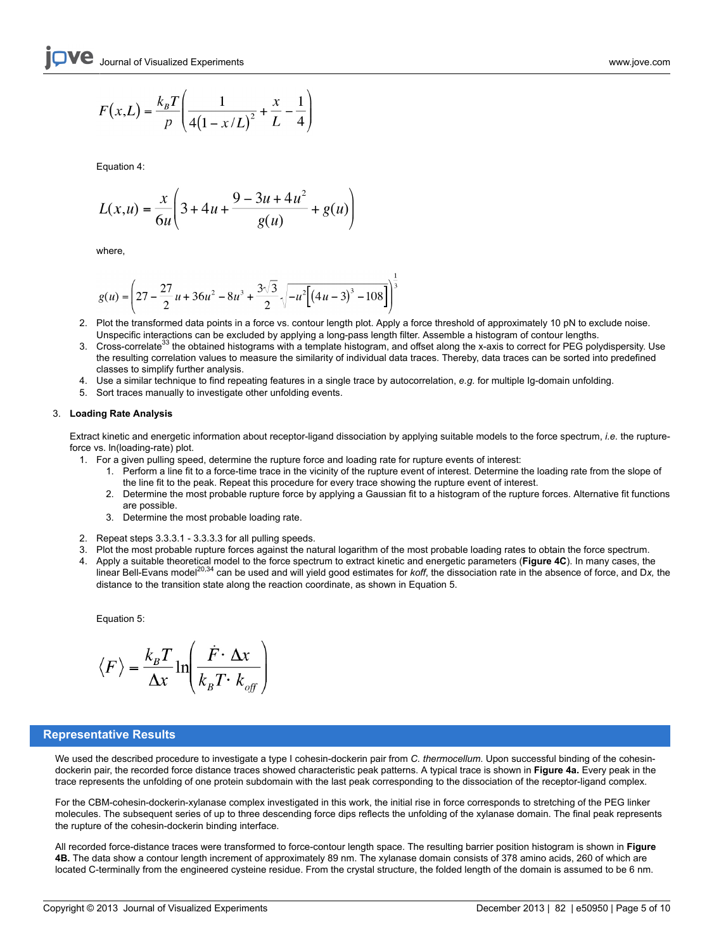$$
F(x,L) = \frac{k_B T}{p} \left( \frac{1}{4(1 - x/L)^2} + \frac{x}{L} - \frac{1}{4} \right)
$$

Equation 4:

$$
L(x, u) = \frac{x}{6u} \left( 3 + 4u + \frac{9 - 3u + 4u^{2}}{g(u)} + g(u) \right)
$$

where,

$$
g(u) = \left(27 - \frac{27}{2}u + 36u^2 - 8u^3 + \frac{3\sqrt{3}}{2}\sqrt{-u^2\left[\left(4u - 3\right)^3 - 108\right]}\right)^{\frac{1}{3}}
$$

- 2. Plot the transformed data points in a force vs. contour length plot. Apply a force threshold of approximately 10 pN to exclude noise. Unspecific interactions can be excluded by applying a long-pass length filter. Assemble a histogram of contour lengths.
- 3. Cross-correlate<sup>33</sup> the obtained histograms with a template histogram, and offset along the x-axis to correct for PEG polydispersity. Use the resulting correlation values to measure the similarity of individual data traces. Thereby, data traces can be sorted into predefined classes to simplify further analysis.

 $\overline{1}$ 

- 4. Use a similar technique to find repeating features in a single trace by autocorrelation, *e.g.* for multiple Ig-domain unfolding.
- 5. Sort traces manually to investigate other unfolding events.

#### 3. **Loading Rate Analysis**

Extract kinetic and energetic information about receptor-ligand dissociation by applying suitable models to the force spectrum, *i.e.* the ruptureforce vs. ln(loading-rate) plot.

- 1. For a given pulling speed, determine the rupture force and loading rate for rupture events of interest:
	- 1. Perform a line fit to a force-time trace in the vicinity of the rupture event of interest. Determine the loading rate from the slope of the line fit to the peak. Repeat this procedure for every trace showing the rupture event of interest.
	- 2. Determine the most probable rupture force by applying a Gaussian fit to a histogram of the rupture forces. Alternative fit functions are possible.
	- 3. Determine the most probable loading rate.
- 2. Repeat steps 3.3.3.1 3.3.3.3 for all pulling speeds.
- 3. Plot the most probable rupture forces against the natural logarithm of the most probable loading rates to obtain the force spectrum.
- 4. Apply a suitable theoretical model to the force spectrum to extract kinetic and energetic parameters (**Figure 4C**). In many cases, the linear Bell-Evans model<sup>20,34</sup> can be used and will yield good estimates for *koff*, the dissociation rate in the absence of force, and Dx, the distance to the transition state along the reaction coordinate, as shown in Equation 5.

Equation 5:

$$
\langle F \rangle = \frac{k_B T}{\Delta x} \ln \left( \frac{\dot{F} \cdot \Delta x}{k_B T \cdot k_{off}} \right)
$$

## **Representative Results**

We used the described procedure to investigate a type I cohesin-dockerin pair from *C. thermocellum*. Upon successful binding of the cohesindockerin pair, the recorded force distance traces showed characteristic peak patterns. A typical trace is shown in **Figure 4a.** Every peak in the trace represents the unfolding of one protein subdomain with the last peak corresponding to the dissociation of the receptor-ligand complex.

For the CBM-cohesin-dockerin-xylanase complex investigated in this work, the initial rise in force corresponds to stretching of the PEG linker molecules. The subsequent series of up to three descending force dips reflects the unfolding of the xylanase domain. The final peak represents the rupture of the cohesin-dockerin binding interface.

All recorded force-distance traces were transformed to force-contour length space. The resulting barrier position histogram is shown in **Figure 4B.** The data show a contour length increment of approximately 89 nm. The xylanase domain consists of 378 amino acids, 260 of which are located C-terminally from the engineered cysteine residue. From the crystal structure, the folded length of the domain is assumed to be 6 nm.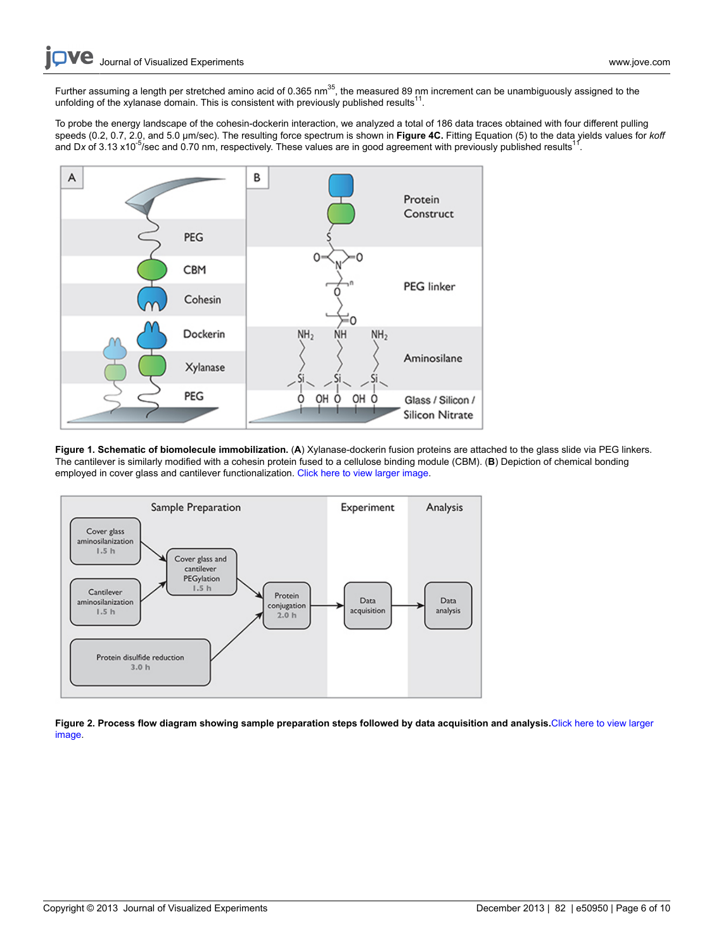Further assuming a length per stretched amino acid of 0.365 nm<sup>35</sup>, the measured 89 nm increment can be unambiguously assigned to the unfolding of the xylanase domain. This is consistent with previously published results $^{11}$ .

To probe the energy landscape of the cohesin-dockerin interaction, we analyzed a total of 186 data traces obtained with four different pulling speeds (0.2, 0.7, 2.0, and 5.0 µm/sec). The resulting force spectrum is shown in **Figure 4C.** Fitting Equation (5) to the data yields values for *koff* and Dx of 3.13 x10<sup>-5</sup>/sec and 0.70 nm, respectively. These values are in good agreement with previously published results<sup>11</sup>.



**Figure 1. Schematic of biomolecule immobilization.** (**A**) Xylanase-dockerin fusion proteins are attached to the glass slide via PEG linkers. The cantilever is similarly modified with a cohesin protein fused to a cellulose binding module (CBM). (**B**) Depiction of chemical bonding employed in cover glass and cantilever functionalization. [Click here to view larger image](http://www.jove.com/files/ftp_upload/50950/50950fig1highres.jpg).



**Figure 2. Process flow diagram showing sample preparation steps followed by data acquisition and analysis.**[Click here to view larger](http://www.jove.com/files/ftp_upload/50950/50950fig2highres.jpg) [image.](http://www.jove.com/files/ftp_upload/50950/50950fig2highres.jpg)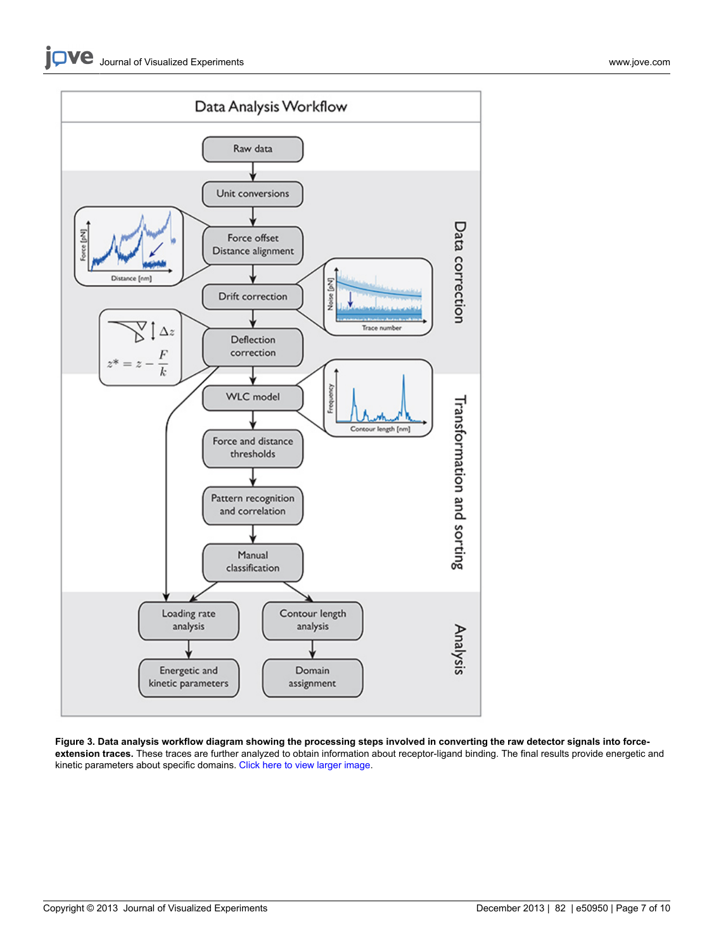jove Journal of Visualized [Experiments](http://www.jove.com) [www.jove.com](http://www.jove.com)



**Figure 3. Data analysis workflow diagram showing the processing steps involved in converting the raw detector signals into forceextension traces.** These traces are further analyzed to obtain information about receptor-ligand binding. The final results provide energetic and kinetic parameters about specific domains. [Click here to view larger image.](http://www.jove.com/files/ftp_upload/50950/50950fig3highres.jpg)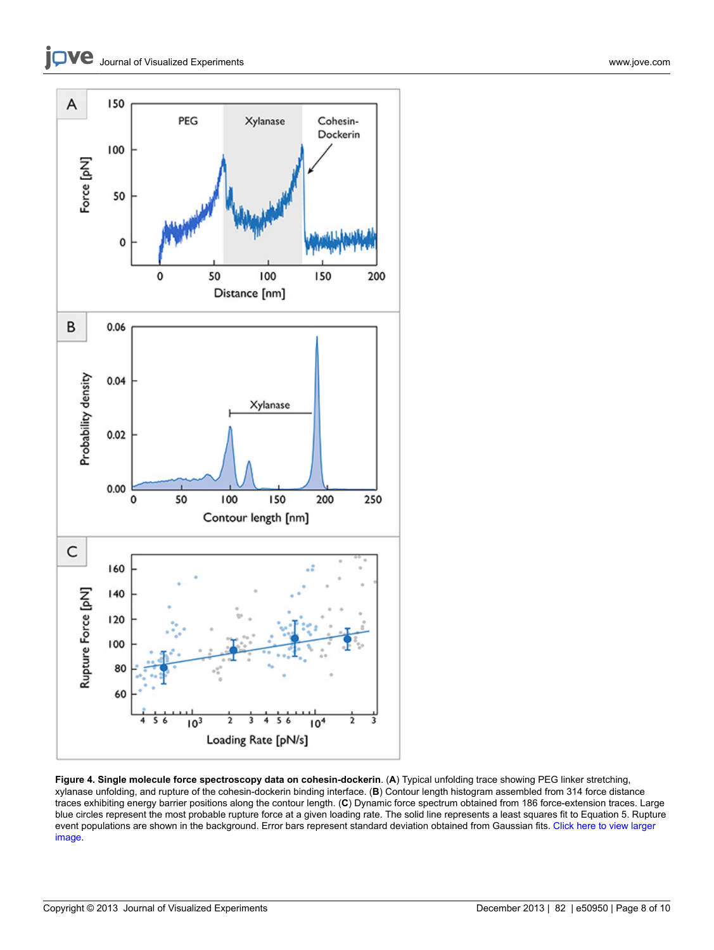

**Figure 4. Single molecule force spectroscopy data on cohesin-dockerin**. (**A**) Typical unfolding trace showing PEG linker stretching, xylanase unfolding, and rupture of the cohesin-dockerin binding interface. (**B**) Contour length histogram assembled from 314 force distance traces exhibiting energy barrier positions along the contour length. (**C**) Dynamic force spectrum obtained from 186 force-extension traces. Large blue circles represent the most probable rupture force at a given loading rate. The solid line represents a least squares fit to Equation 5. Rupture event populations are shown in the background. Error bars represent standard deviation obtained from Gaussian fits. [Click here to view larger](http://www.jove.com/files/ftp_upload/50950/50950fig4highres.jpg) [image.](http://www.jove.com/files/ftp_upload/50950/50950fig4highres.jpg)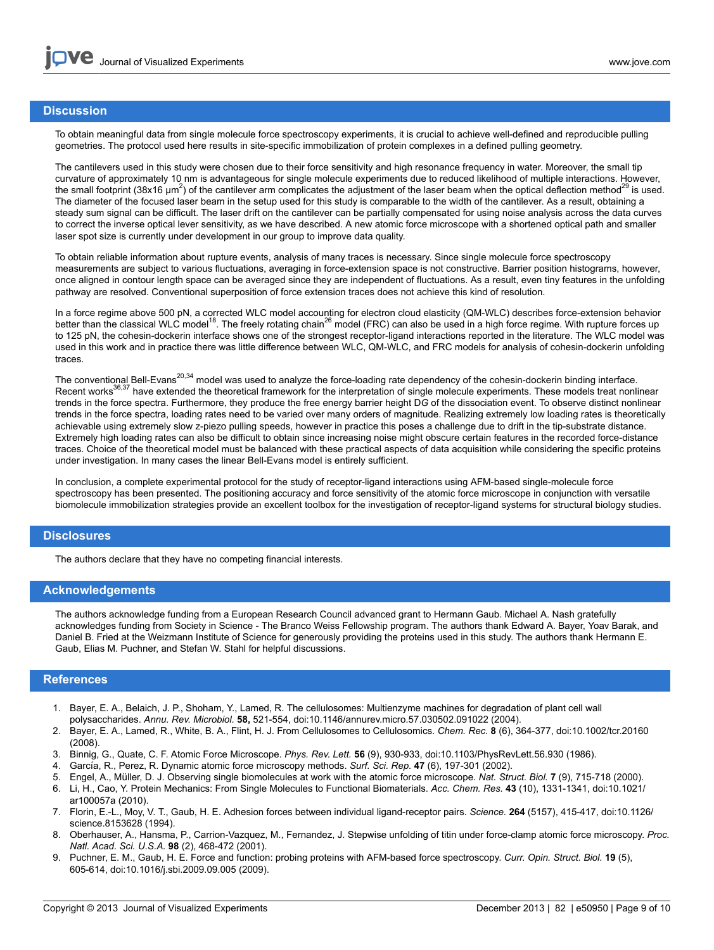# **Discussion**

To obtain meaningful data from single molecule force spectroscopy experiments, it is crucial to achieve well-defined and reproducible pulling geometries. The protocol used here results in site-specific immobilization of protein complexes in a defined pulling geometry.

The cantilevers used in this study were chosen due to their force sensitivity and high resonance frequency in water. Moreover, the small tip curvature of approximately 10 nm is advantageous for single molecule experiments due to reduced likelihood of multiple interactions. However, the small footprint (38x16  $\mu$ m<sup>2</sup>) of the cantilever arm complicates the adjustment of the laser beam when the optical deflection method<sup>29</sup> is used. The diameter of the focused laser beam in the setup used for this study is comparable to the width of the cantilever. As a result, obtaining a steady sum signal can be difficult. The laser drift on the cantilever can be partially compensated for using noise analysis across the data curves to correct the inverse optical lever sensitivity, as we have described. A new atomic force microscope with a shortened optical path and smaller laser spot size is currently under development in our group to improve data quality.

To obtain reliable information about rupture events, analysis of many traces is necessary. Since single molecule force spectroscopy measurements are subject to various fluctuations, averaging in force-extension space is not constructive. Barrier position histograms, however, once aligned in contour length space can be averaged since they are independent of fluctuations. As a result, even tiny features in the unfolding pathway are resolved. Conventional superposition of force extension traces does not achieve this kind of resolution.

In a force regime above 500 pN, a corrected WLC model accounting for electron cloud elasticity (QM-WLC) describes force-extension behavior better than the classical WLC model<sup>18</sup>. The freely rotating chain<sup>26</sup> model (FRC) can also be used in a high force regime. With rupture forces up to 125 pN, the cohesin-dockerin interface shows one of the strongest receptor-ligand interactions reported in the literature. The WLC model was used in this work and in practice there was little difference between WLC, QM-WLC, and FRC models for analysis of cohesin-dockerin unfolding traces.

The conventional Bell-Evans<sup>20,34</sup> model was used to analyze the force-loading rate dependency of the cohesin-dockerin binding interface. Recent works<sup>36,37</sup> have extended the theoretical framework for the interpretation of single molecule experiments. These models treat nonlinear trends in the force spectra. Furthermore, they produce the free energy barrier height D*G* of the dissociation event. To observe distinct nonlinear trends in the force spectra, loading rates need to be varied over many orders of magnitude. Realizing extremely low loading rates is theoretically achievable using extremely slow z-piezo pulling speeds, however in practice this poses a challenge due to drift in the tip-substrate distance. Extremely high loading rates can also be difficult to obtain since increasing noise might obscure certain features in the recorded force-distance traces. Choice of the theoretical model must be balanced with these practical aspects of data acquisition while considering the specific proteins under investigation. In many cases the linear Bell-Evans model is entirely sufficient.

In conclusion, a complete experimental protocol for the study of receptor-ligand interactions using AFM-based single-molecule force spectroscopy has been presented. The positioning accuracy and force sensitivity of the atomic force microscope in conjunction with versatile biomolecule immobilization strategies provide an excellent toolbox for the investigation of receptor-ligand systems for structural biology studies.

# **Disclosures**

The authors declare that they have no competing financial interests.

### **Acknowledgements**

The authors acknowledge funding from a European Research Council advanced grant to Hermann Gaub. Michael A. Nash gratefully acknowledges funding from Society in Science - The Branco Weiss Fellowship program. The authors thank Edward A. Bayer, Yoav Barak, and Daniel B. Fried at the Weizmann Institute of Science for generously providing the proteins used in this study. The authors thank Hermann E. Gaub, Elias M. Puchner, and Stefan W. Stahl for helpful discussions.

#### **References**

- 1. Bayer, E. A., Belaich, J. P., Shoham, Y., Lamed, R. The cellulosomes: Multienzyme machines for degradation of plant cell wall polysaccharides. *Annu. Rev. Microbiol.* **58,** 521-554, doi:10.1146/annurev.micro.57.030502.091022 (2004).
- 2. Bayer, E. A., Lamed, R., White, B. A., Flint, H. J. From Cellulosomes to Cellulosomics. *Chem. Rec.* **8** (6), 364-377, doi:10.1002/tcr.20160 (2008).
- 3. Binnig, G., Quate, C. F. Atomic Force Microscope. *Phys. Rev. Lett.* **56** (9), 930-933, doi:10.1103/PhysRevLett.56.930 (1986).
- 4. García, R., Perez, R. Dynamic atomic force microscopy methods. *Surf. Sci. Rep.* **47** (6), 197-301 (2002).
- 5. Engel, A., Müller, D. J. Observing single biomolecules at work with the atomic force microscope. *Nat. Struct. Biol.* **7** (9), 715-718 (2000).
- 6. Li, H., Cao, Y. Protein Mechanics: From Single Molecules to Functional Biomaterials. *Acc. Chem. Res.* **43** (10), 1331-1341, doi:10.1021/ ar100057a (2010).
- 7. Florin, E.-L., Moy, V. T., Gaub, H. E. Adhesion forces between individual ligand-receptor pairs. *Science.* **264** (5157), 415-417, doi:10.1126/ science.8153628 (1994).
- 8. Oberhauser, A., Hansma, P., Carrion-Vazquez, M., Fernandez, J. Stepwise unfolding of titin under force-clamp atomic force microscopy. *Proc. Natl. Acad. Sci. U.S.A.* **98** (2), 468-472 (2001).
- 9. Puchner, E. M., Gaub, H. E. Force and function: probing proteins with AFM-based force spectroscopy. *Curr. Opin. Struct. Biol.* **19** (5), 605-614, doi:10.1016/j.sbi.2009.09.005 (2009).